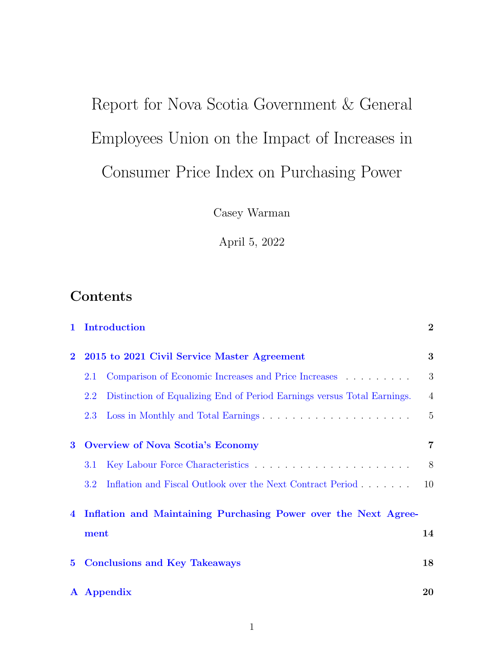# <span id="page-0-0"></span>Report for Nova Scotia Government & General Employees Union on the Impact of Increases in Consumer Price Index on Purchasing Power

Casey Warman

April 5, 2022

### **Contents**

| $\mathbf{1}$   | Introduction                                                                   | $\overline{2}$ |
|----------------|--------------------------------------------------------------------------------|----------------|
| $\mathbf{2}$   | 2015 to 2021 Civil Service Master Agreement                                    | 3              |
|                | Comparison of Economic Increases and Price Increases<br>2.1                    | 3              |
|                | Distinction of Equalizing End of Period Earnings versus Total Earnings.<br>2.2 | $\overline{4}$ |
|                | Loss in Monthly and Total Earnings<br>2.3                                      | $\overline{5}$ |
| $\bf{3}$       | <b>Overview of Nova Scotia's Economy</b>                                       | 7              |
|                | 3.1                                                                            | 8              |
|                | Inflation and Fiscal Outlook over the Next Contract Period<br>3.2 <sub>1</sub> | 10             |
| $\overline{4}$ | Inflation and Maintaining Purchasing Power over the Next Agree-                |                |
|                | ment                                                                           | 14             |
| $5^{\circ}$    | <b>Conclusions and Key Takeaways</b>                                           | 18             |
|                | A Appendix                                                                     | 20             |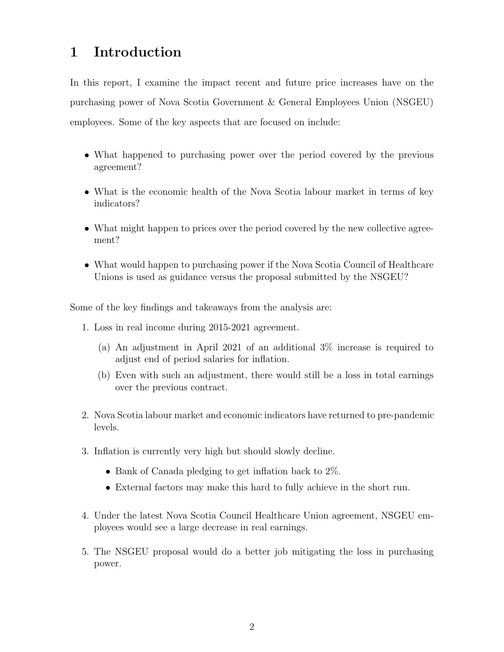### <span id="page-1-0"></span>1 Introduction

In this report, I examine the impact recent and future price increases have on the purchasing power of Nova Scotia Government & General Employees Union (NSGEU) employees. Some of the key aspects that are focused on include:

- What happened to purchasing power over the period covered by the previous agreement?
- What is the economic health of the Nova Scotia labour market in terms of key indicators?
- What might happen to prices over the period covered by the new collective agreement?
- What would happen to purchasing power if the Nova Scotia Council of Healthcare Unions is used as guidance versus the proposal submitted by the NSGEU?

Some of the key findings and takeaways from the analysis are:

- 1. Loss in real income during 2015-2021 agreement.
	- (a) An adjustment in April 2021 of an additional 3% increase is required to adjust end of period salaries for inflation.
	- (b) Even with such an adjustment, there would still be a loss in total earnings over the previous contract.
- 2. Nova Scotia labour market and economic indicators have returned to pre-pandemic levels.
- 3. Inflation is currently very high but should slowly decline.
	- Bank of Canada pledging to get inflation back to 2\%.
	- External factors may make this hard to fully achieve in the short run.
- 4. Under the latest Nova Scotia Council Healthcare Union agreement, NSGEU employees would see a large decrease in real earnings.
- 5. The NSGEU proposal would do a better job mitigating the loss in purchasing power.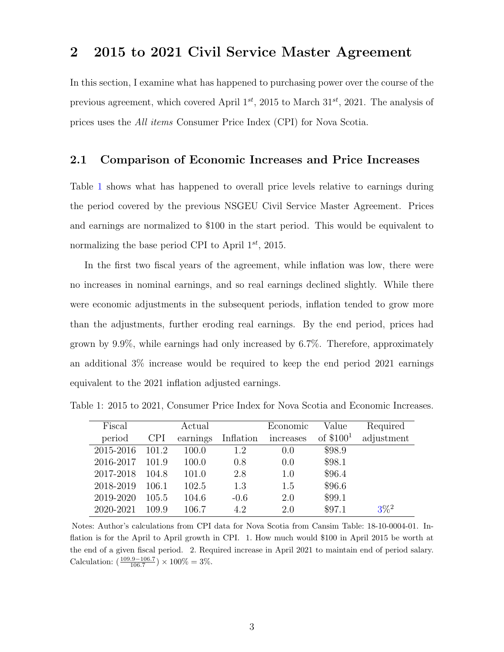### <span id="page-2-0"></span>2 2015 to 2021 Civil Service Master Agreement

In this section, I examine what has happened to purchasing power over the course of the previous agreement, which covered April  $1^{st}$ , 2015 to March  $31^{st}$ , 2021. The analysis of prices uses the All items Consumer Price Index (CPI) for Nova Scotia.

#### <span id="page-2-1"></span>2.1 Comparison of Economic Increases and Price Increases

Table [1](#page-2-2) shows what has happened to overall price levels relative to earnings during the period covered by the previous NSGEU Civil Service Master Agreement. Prices and earnings are normalized to \$100 in the start period. This would be equivalent to normalizing the base period CPI to April  $1^{st}$ , 2015.

In the first two fiscal years of the agreement, while inflation was low, there were no increases in nominal earnings, and so real earnings declined slightly. While there were economic adjustments in the subsequent periods, inflation tended to grow more than the adjustments, further eroding real earnings. By the end period, prices had grown by 9.9%, while earnings had only increased by 6.7%. Therefore, approximately an additional 3% increase would be required to keep the end period 2021 earnings equivalent to the 2021 inflation adjusted earnings.

| Fiscal    |            | Actual   |           | Economic  | Value      | Required   |
|-----------|------------|----------|-----------|-----------|------------|------------|
| period    | <b>CPI</b> | earnings | Inflation | increases | of $$1001$ | adjustment |
| 2015-2016 | 101.2      | 100.0    | 1.2       | 0.0       | \$98.9     |            |
| 2016-2017 | 101.9      | 100.0    | 0.8       | 0.0       | \$98.1     |            |
| 2017-2018 | 104.8      | 101.0    | 2.8       | 1.0       | \$96.4     |            |
| 2018-2019 | 106.1      | 102.5    | 1.3       | 1.5       | \$96.6     |            |
| 2019-2020 | 105.5      | 104.6    | $-0.6$    | 2.0       | \$99.1     |            |
| 2020-2021 | 109.9      | 106.7    | 4.2       | 2.0       | \$97.1     | $3\%^2$    |

<span id="page-2-2"></span>Table 1: 2015 to 2021, Consumer Price Index for Nova Scotia and Economic Increases.

Notes: Author's calculations from CPI data for Nova Scotia from Cansim Table: 18-10-0004-01. Inflation is for the April to April growth in CPI. 1. How much would \$100 in April 2015 be worth at the end of a given fiscal period. 2. Required increase in April 2021 to maintain end of period salary. Calculation:  $\left(\frac{109.9 - 106.7}{106.7}\right) \times 100\% = 3\%.$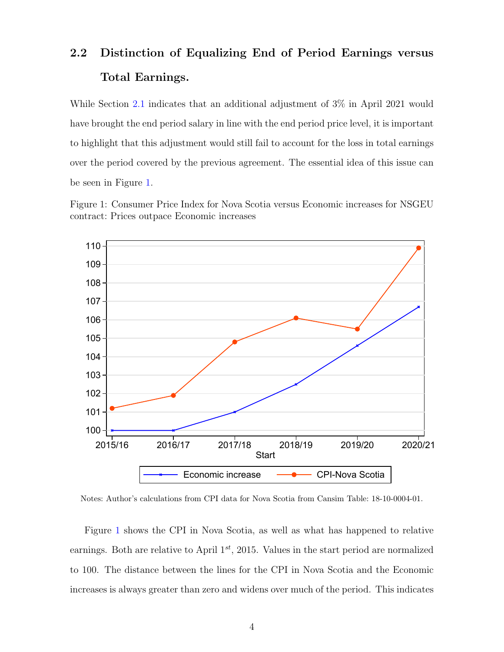# <span id="page-3-0"></span>2.2 Distinction of Equalizing End of Period Earnings versus Total Earnings.

While Section [2.1](#page-2-1) indicates that an additional adjustment of 3% in April 2021 would have brought the end period salary in line with the end period price level, it is important to highlight that this adjustment would still fail to account for the loss in total earnings over the period covered by the previous agreement. The essential idea of this issue can be seen in Figure [1.](#page-3-1)

Figure 1: Consumer Price Index for Nova Scotia versus Economic increases for NSGEU contract: Prices outpace Economic increases

<span id="page-3-1"></span>

Notes: Author's calculations from CPI data for Nova Scotia from Cansim Table: 18-10-0004-01.

Figure [1](#page-3-1) shows the CPI in Nova Scotia, as well as what has happened to relative earnings. Both are relative to April  $1^{st}$ , 2015. Values in the start period are normalized to 100. The distance between the lines for the CPI in Nova Scotia and the Economic increases is always greater than zero and widens over much of the period. This indicates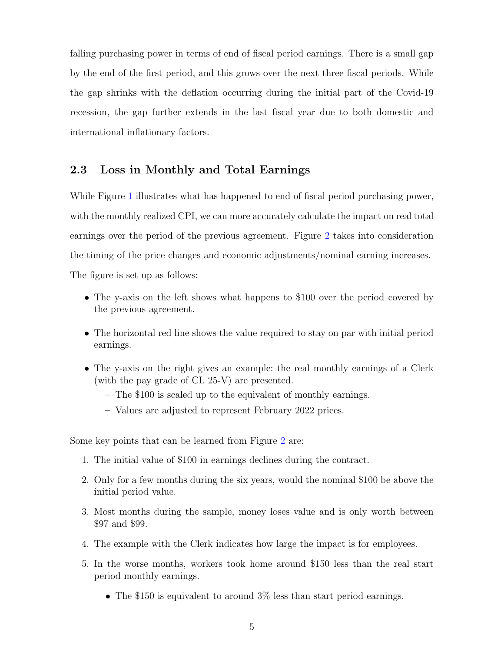falling purchasing power in terms of end of fiscal period earnings. There is a small gap by the end of the first period, and this grows over the next three fiscal periods. While the gap shrinks with the deflation occurring during the initial part of the Covid-19 recession, the gap further extends in the last fiscal year due to both domestic and international inflationary factors.

#### <span id="page-4-0"></span>2.3 Loss in Monthly and Total Earnings

While Figure [1](#page-3-1) illustrates what has happened to end of fiscal period purchasing power, with the monthly realized CPI, we can more accurately calculate the impact on real total earnings over the period of the previous agreement. Figure [2](#page-5-0) takes into consideration the timing of the price changes and economic adjustments/nominal earning increases. The figure is set up as follows:

• The y-axis on the left shows what happens to \$100 over the period covered by the previous agreement.

- The horizontal red line shows the value required to stay on par with initial period earnings.
- The y-axis on the right gives an example: the real monthly earnings of a Clerk (with the pay grade of CL 25-V) are presented.
	- The \$100 is scaled up to the equivalent of monthly earnings.
	- Values are adjusted to represent February 2022 prices.

Some key points that can be learned from Figure [2](#page-5-0) are:

- 1. The initial value of \$100 in earnings declines during the contract.
- 2. Only for a few months during the six years, would the nominal \$100 be above the initial period value.
- 3. Most months during the sample, money loses value and is only worth between \$97 and \$99.
- 4. The example with the Clerk indicates how large the impact is for employees.
- 5. In the worse months, workers took home around \$150 less than the real start period monthly earnings.
	- The \$150 is equivalent to around  $3\%$  less than start period earnings.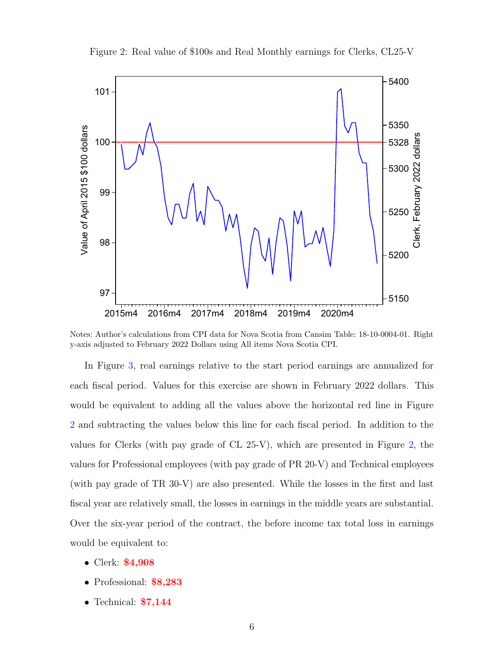<span id="page-5-0"></span>

Figure 2: Real value of \$100s and Real Monthly earnings for Clerks, CL25-V

Notes: Author's calculations from CPI data for Nova Scotia from Cansim Table: 18-10-0004-01. Right y-axis adjusted to February 2022 Dollars using All items Nova Scotia CPI.

In Figure [3,](#page-6-1) real earnings relative to the start period earnings are annualized for each fiscal period. Values for this exercise are shown in February 2022 dollars. This would be equivalent to adding all the values above the horizontal red line in Figure [2](#page-5-0) and subtracting the values below this line for each fiscal period. In addition to the values for Clerks (with pay grade of CL 25-V), which are presented in Figure [2,](#page-5-0) the values for Professional employees (with pay grade of PR 20-V) and Technical employees (with pay grade of TR 30-V) are also presented. While the losses in the first and last fiscal year are relatively small, the losses in earnings in the middle years are substantial. Over the six-year period of the contract, the before income tax total loss in earnings would be equivalent to:

- Clerk: \$4,908
- Professional: \$8,283
- Technical: **\$7,144**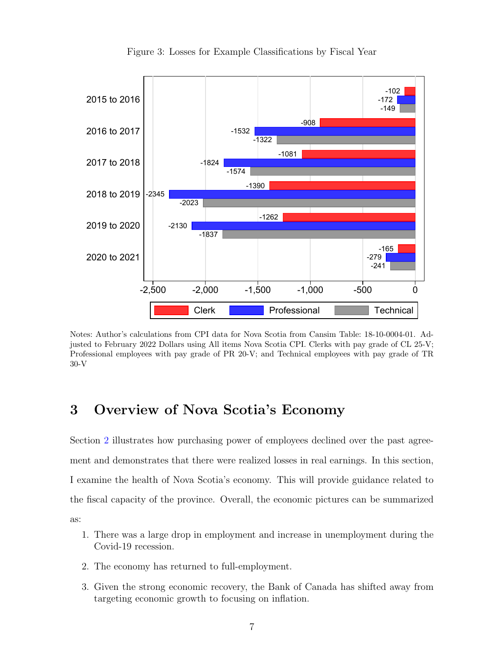<span id="page-6-1"></span>

Figure 3: Losses for Example Classifications by Fiscal Year

Notes: Author's calculations from CPI data for Nova Scotia from Cansim Table: 18-10-0004-01. Adjusted to February 2022 Dollars using All items Nova Scotia CPI. Clerks with pay grade of CL 25-V; Professional employees with pay grade of PR 20-V; and Technical employees with pay grade of TR 30-V

### <span id="page-6-0"></span>3 Overview of Nova Scotia's Economy

Section [2](#page-2-0) illustrates how purchasing power of employees declined over the past agreement and demonstrates that there were realized losses in real earnings. In this section, I examine the health of Nova Scotia's economy. This will provide guidance related to the fiscal capacity of the province. Overall, the economic pictures can be summarized as:

- 1. There was a large drop in employment and increase in unemployment during the Covid-19 recession.
- 2. The economy has returned to full-employment.
- 3. Given the strong economic recovery, the Bank of Canada has shifted away from targeting economic growth to focusing on inflation.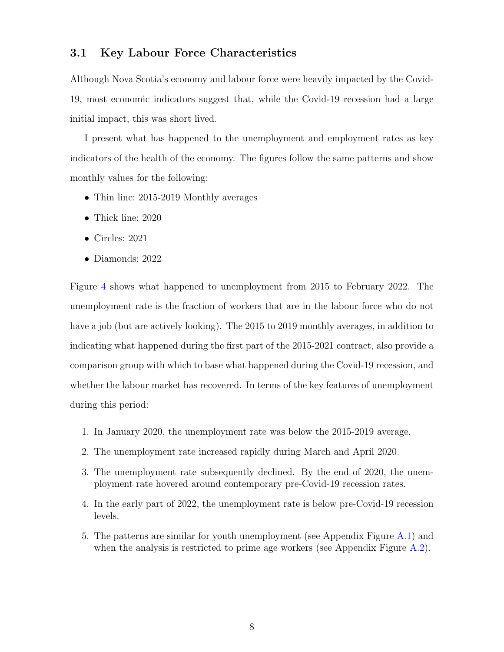#### <span id="page-7-0"></span>3.1 Key Labour Force Characteristics

Although Nova Scotia's economy and labour force were heavily impacted by the Covid-19, most economic indicators suggest that, while the Covid-19 recession had a large initial impact, this was short lived.

I present what has happened to the unemployment and employment rates as key indicators of the health of the economy. The figures follow the same patterns and show monthly values for the following:

- Thin line: 2015-2019 Monthly averages
- Thick line: 2020
- Circles: 2021
- Diamonds: 2022

Figure [4](#page-8-0) shows what happened to unemployment from 2015 to February 2022. The unemployment rate is the fraction of workers that are in the labour force who do not have a job (but are actively looking). The 2015 to 2019 monthly averages, in addition to indicating what happened during the first part of the 2015-2021 contract, also provide a comparison group with which to base what happened during the Covid-19 recession, and whether the labour market has recovered. In terms of the key features of unemployment during this period:

- 1. In January 2020, the unemployment rate was below the 2015-2019 average.
- 2. The unemployment rate increased rapidly during March and April 2020.
- 3. The unemployment rate subsequently declined. By the end of 2020, the unemployment rate hovered around contemporary pre-Covid-19 recession rates.
- 4. In the early part of 2022, the unemployment rate is below pre-Covid-19 recession levels.
- 5. The patterns are similar for youth unemployment (see Appendix Figure [A.1\)](#page-19-1) and when the analysis is restricted to prime age workers (see Appendix Figure [A.2\)](#page-20-0).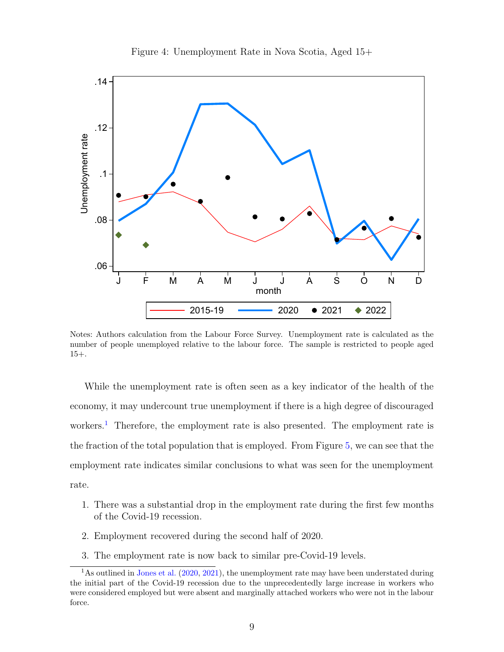<span id="page-8-0"></span>

Figure 4: Unemployment Rate in Nova Scotia, Aged 15+

Notes: Authors calculation from the Labour Force Survey. Unemployment rate is calculated as the number of people unemployed relative to the labour force. The sample is restricted to people aged 15+.

While the unemployment rate is often seen as a key indicator of the health of the economy, it may undercount true unemployment if there is a high degree of discouraged workers.<sup>[1](#page-0-0)</sup> Therefore, the employment rate is also presented. The employment rate is the fraction of the total population that is employed. From Figure [5,](#page-9-1) we can see that the employment rate indicates similar conclusions to what was seen for the unemployment rate.

- 1. There was a substantial drop in the employment rate during the first few months of the Covid-19 recession.
- 2. Employment recovered during the second half of 2020.
- 3. The employment rate is now back to similar pre-Covid-19 levels.

<sup>&</sup>lt;sup>1</sup>As outlined in [Jones et al.](#page-18-0) [\(2020,](#page-18-0) [2021\)](#page-18-1), the unemployment rate may have been understated during the initial part of the Covid-19 recession due to the unprecedentedly large increase in workers who were considered employed but were absent and marginally attached workers who were not in the labour force.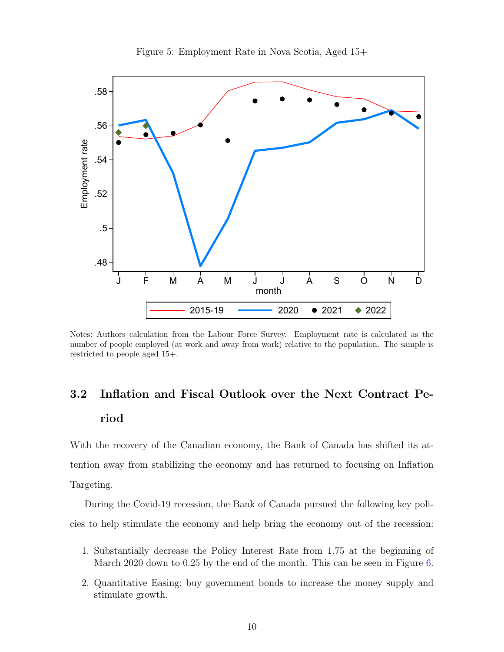<span id="page-9-1"></span>

Notes: Authors calculation from the Labour Force Survey. Employment rate is calculated as the number of people employed (at work and away from work) relative to the population. The sample is restricted to people aged 15+.

## <span id="page-9-0"></span>3.2 Inflation and Fiscal Outlook over the Next Contract Period

With the recovery of the Canadian economy, the Bank of Canada has shifted its attention away from stabilizing the economy and has returned to focusing on Inflation Targeting.

During the Covid-19 recession, the Bank of Canada pursued the following key policies to help stimulate the economy and help bring the economy out of the recession:

- 1. Substantially decrease the Policy Interest Rate from 1.75 at the beginning of March 2020 down to 0.25 by the end of the month. This can be seen in Figure [6.](#page-10-0)
- 2. Quantitative Easing: buy government bonds to increase the money supply and stimulate growth.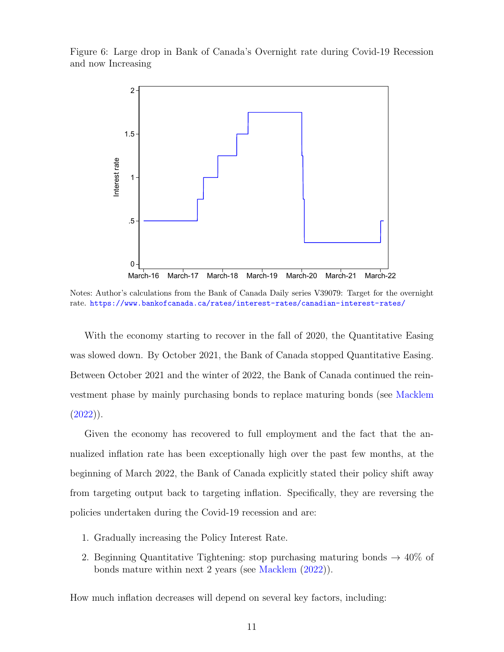<span id="page-10-0"></span>Figure 6: Large drop in Bank of Canada's Overnight rate during Covid-19 Recession and now Increasing



Notes: Author's calculations from the Bank of Canada Daily series V39079: Target for the overnight rate. <https://www.bankofcanada.ca/rates/interest-rates/canadian-interest-rates/>

With the economy starting to recover in the fall of 2020, the Quantitative Easing was slowed down. By October 2021, the Bank of Canada stopped Quantitative Easing. Between October 2021 and the winter of 2022, the Bank of Canada continued the reinvestment phase by mainly purchasing bonds to replace maturing bonds (see [Macklem](#page-18-2)  $(2022)$ .

Given the economy has recovered to full employment and the fact that the annualized inflation rate has been exceptionally high over the past few months, at the beginning of March 2022, the Bank of Canada explicitly stated their policy shift away from targeting output back to targeting inflation. Specifically, they are reversing the policies undertaken during the Covid-19 recession and are:

- 1. Gradually increasing the Policy Interest Rate.
- 2. Beginning Quantitative Tightening: stop purchasing maturing bonds  $\rightarrow$  40% of bonds mature within next 2 years (see [Macklem](#page-18-2) [\(2022\)](#page-18-2)).

How much inflation decreases will depend on several key factors, including: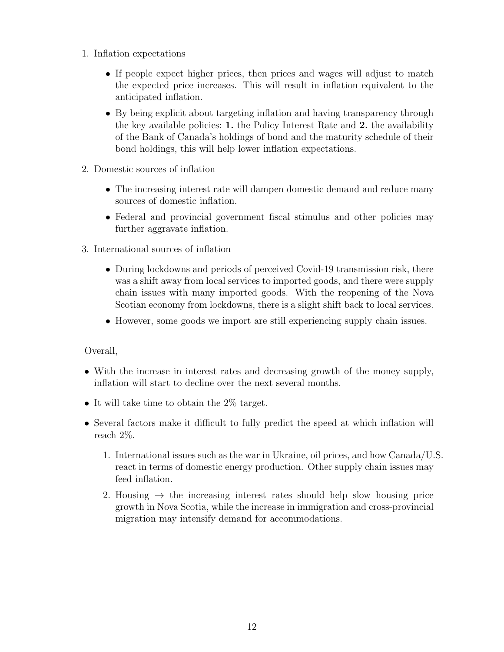- 1. Inflation expectations
	- If people expect higher prices, then prices and wages will adjust to match the expected price increases. This will result in inflation equivalent to the anticipated inflation.
	- By being explicit about targeting inflation and having transparency through the key available policies: 1. the Policy Interest Rate and 2. the availability of the Bank of Canada's holdings of bond and the maturity schedule of their bond holdings, this will help lower inflation expectations.
- 2. Domestic sources of inflation
	- The increasing interest rate will dampen domestic demand and reduce many sources of domestic inflation.
	- Federal and provincial government fiscal stimulus and other policies may further aggravate inflation.
- 3. International sources of inflation
	- During lockdowns and periods of perceived Covid-19 transmission risk, there was a shift away from local services to imported goods, and there were supply chain issues with many imported goods. With the reopening of the Nova Scotian economy from lockdowns, there is a slight shift back to local services.
	- However, some goods we import are still experiencing supply chain issues.

#### Overall,

- With the increase in interest rates and decreasing growth of the money supply, inflation will start to decline over the next several months.
- It will take time to obtain the  $2\%$  target.
- Several factors make it difficult to fully predict the speed at which inflation will reach 2%.
	- 1. International issues such as the war in Ukraine, oil prices, and how Canada/U.S. react in terms of domestic energy production. Other supply chain issues may feed inflation.
	- 2. Housing  $\rightarrow$  the increasing interest rates should help slow housing price growth in Nova Scotia, while the increase in immigration and cross-provincial migration may intensify demand for accommodations.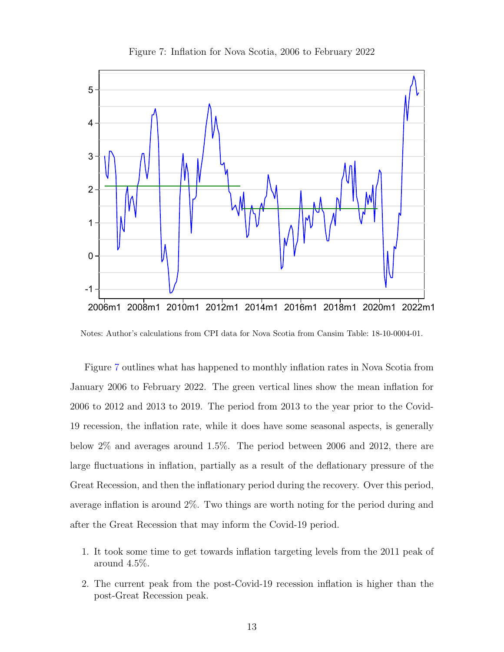<span id="page-12-0"></span>

Figure 7: Inflation for Nova Scotia, 2006 to February 2022

Notes: Author's calculations from CPI data for Nova Scotia from Cansim Table: 18-10-0004-01.

Figure [7](#page-12-0) outlines what has happened to monthly inflation rates in Nova Scotia from January 2006 to February 2022. The green vertical lines show the mean inflation for 2006 to 2012 and 2013 to 2019. The period from 2013 to the year prior to the Covid-19 recession, the inflation rate, while it does have some seasonal aspects, is generally below 2% and averages around 1.5%. The period between 2006 and 2012, there are large fluctuations in inflation, partially as a result of the deflationary pressure of the Great Recession, and then the inflationary period during the recovery. Over this period, average inflation is around 2%. Two things are worth noting for the period during and after the Great Recession that may inform the Covid-19 period.

- 1. It took some time to get towards inflation targeting levels from the 2011 peak of around 4.5%.
- 2. The current peak from the post-Covid-19 recession inflation is higher than the post-Great Recession peak.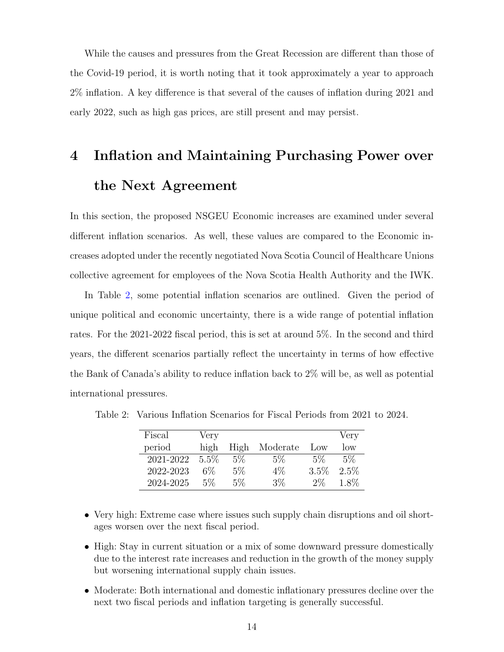While the causes and pressures from the Great Recession are different than those of the Covid-19 period, it is worth noting that it took approximately a year to approach 2% inflation. A key difference is that several of the causes of inflation during 2021 and early 2022, such as high gas prices, are still present and may persist.

# <span id="page-13-0"></span>4 Inflation and Maintaining Purchasing Power over the Next Agreement

In this section, the proposed NSGEU Economic increases are examined under several different inflation scenarios. As well, these values are compared to the Economic increases adopted under the recently negotiated Nova Scotia Council of Healthcare Unions collective agreement for employees of the Nova Scotia Health Authority and the IWK.

In Table [2,](#page-13-1) some potential inflation scenarios are outlined. Given the period of unique political and economic uncertainty, there is a wide range of potential inflation rates. For the 2021-2022 fiscal period, this is set at around 5%. In the second and third years, the different scenarios partially reflect the uncertainty in terms of how effective the Bank of Canada's ability to reduce inflation back to 2% will be, as well as potential international pressures.

| Fiscal    | Very    |       |          |       | Very  |
|-----------|---------|-------|----------|-------|-------|
| period    | high    | High  | Moderate | Low   | low   |
| 2021-2022 | $5.5\%$ | $5\%$ | $5\%$    | $5\%$ | $5\%$ |
| 2022-2023 | 6%      | 5%    | $4\%$    | 3.5%  | 2.5%  |
| 2024-2025 | 5%      | $5\%$ | 3%       | $2\%$ | 1.8%  |

<span id="page-13-1"></span>Table 2: Various Inflation Scenarios for Fiscal Periods from 2021 to 2024.

- Very high: Extreme case where issues such supply chain disruptions and oil shortages worsen over the next fiscal period.
- High: Stay in current situation or a mix of some downward pressure domestically due to the interest rate increases and reduction in the growth of the money supply but worsening international supply chain issues.
- Moderate: Both international and domestic inflationary pressures decline over the next two fiscal periods and inflation targeting is generally successful.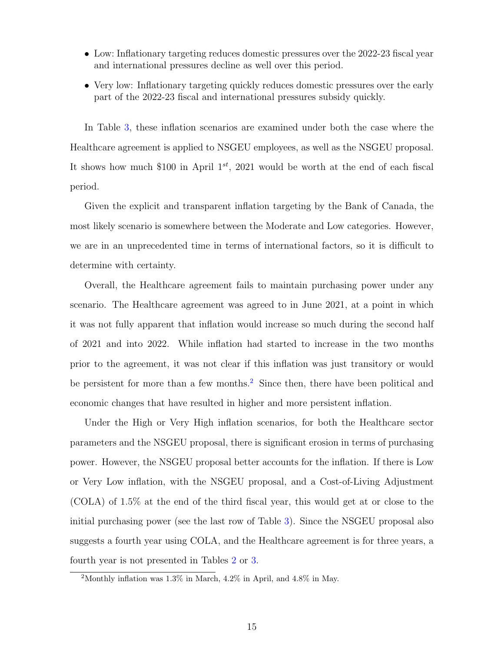- Low: Inflationary targeting reduces domestic pressures over the 2022-23 fiscal year and international pressures decline as well over this period.
- Very low: Inflationary targeting quickly reduces domestic pressures over the early part of the 2022-23 fiscal and international pressures subsidy quickly.

In Table [3,](#page-15-0) these inflation scenarios are examined under both the case where the Healthcare agreement is applied to NSGEU employees, as well as the NSGEU proposal. It shows how much \$100 in April  $1^{st}$ , 2021 would be worth at the end of each fiscal period.

Given the explicit and transparent inflation targeting by the Bank of Canada, the most likely scenario is somewhere between the Moderate and Low categories. However, we are in an unprecedented time in terms of international factors, so it is difficult to determine with certainty.

Overall, the Healthcare agreement fails to maintain purchasing power under any scenario. The Healthcare agreement was agreed to in June 2021, at a point in which it was not fully apparent that inflation would increase so much during the second half of 2021 and into 2022. While inflation had started to increase in the two months prior to the agreement, it was not clear if this inflation was just transitory or would be persistent for more than a few months.<sup>[2](#page-0-0)</sup> Since then, there have been political and economic changes that have resulted in higher and more persistent inflation.

Under the High or Very High inflation scenarios, for both the Healthcare sector parameters and the NSGEU proposal, there is significant erosion in terms of purchasing power. However, the NSGEU proposal better accounts for the inflation. If there is Low or Very Low inflation, with the NSGEU proposal, and a Cost-of-Living Adjustment (COLA) of 1.5% at the end of the third fiscal year, this would get at or close to the initial purchasing power (see the last row of Table [3\)](#page-15-0). Since the NSGEU proposal also suggests a fourth year using COLA, and the Healthcare agreement is for three years, a fourth year is not presented in Tables [2](#page-13-1) or [3.](#page-15-0)

<sup>2</sup>Monthly inflation was 1.3% in March, 4.2% in April, and 4.8% in May.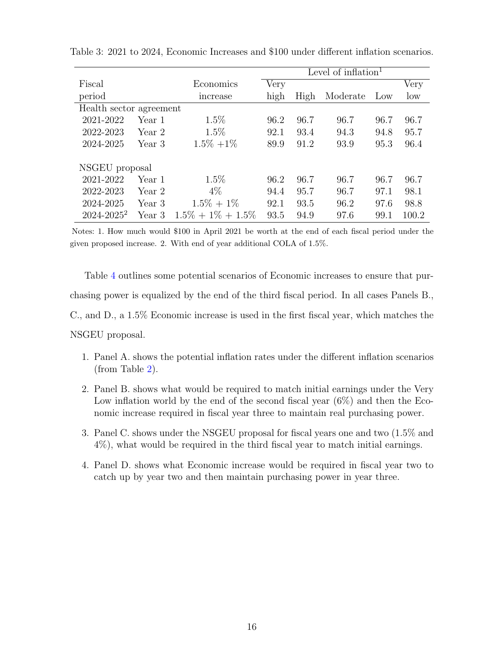<span id="page-15-0"></span>

|                         |        |                       | Level of inflation $1$ |      |          |      |       |
|-------------------------|--------|-----------------------|------------------------|------|----------|------|-------|
| Fiscal                  |        | Economics             | Very                   |      |          |      | Very  |
| period                  |        | increase              | high                   | High | Moderate | Low  | low   |
| Health sector agreement |        |                       |                        |      |          |      |       |
| 2021-2022               | Year 1 | $1.5\%$               | 96.2                   | 96.7 | 96.7     | 96.7 | 96.7  |
| 2022-2023               | Year 2 | $1.5\%$               | 92.1                   | 93.4 | 94.3     | 94.8 | 95.7  |
| 2024-2025               | Year 3 | $1.5\% + 1\%$         | 89.9                   | 91.2 | 93.9     | 95.3 | 96.4  |
| NSGEU proposal          |        |                       |                        |      |          |      |       |
| 2021-2022               | Year 1 | $1.5\%$               | 96.2                   | 96.7 | 96.7     | 96.7 | 96.7  |
| 2022-2023               | Year 2 | $4\%$                 | 94.4                   | 95.7 | 96.7     | 97.1 | 98.1  |
| 2024-2025               | Year 3 | $1.5\% + 1\%$         | 92.1                   | 93.5 | 96.2     | 97.6 | 98.8  |
| $2024 - 2025^2$         | Year 3 | $1.5\% + 1\% + 1.5\%$ | 93.5                   | 94.9 | 97.6     | 99.1 | 100.2 |

Table 3: 2021 to 2024, Economic Increases and \$100 under different inflation scenarios.

Notes: 1. How much would \$100 in April 2021 be worth at the end of each fiscal period under the given proposed increase. 2. With end of year additional COLA of 1.5%.

Table [4](#page-16-0) outlines some potential scenarios of Economic increases to ensure that purchasing power is equalized by the end of the third fiscal period. In all cases Panels B., C., and D., a 1.5% Economic increase is used in the first fiscal year, which matches the NSGEU proposal.

- 1. Panel A. shows the potential inflation rates under the different inflation scenarios (from Table [2\)](#page-13-1).
- 2. Panel B. shows what would be required to match initial earnings under the Very Low inflation world by the end of the second fiscal year  $(6\%)$  and then the Economic increase required in fiscal year three to maintain real purchasing power.
- 3. Panel C. shows under the NSGEU proposal for fiscal years one and two (1.5% and 4%), what would be required in the third fiscal year to match initial earnings.
- 4. Panel D. shows what Economic increase would be required in fiscal year two to catch up by year two and then maintain purchasing power in year three.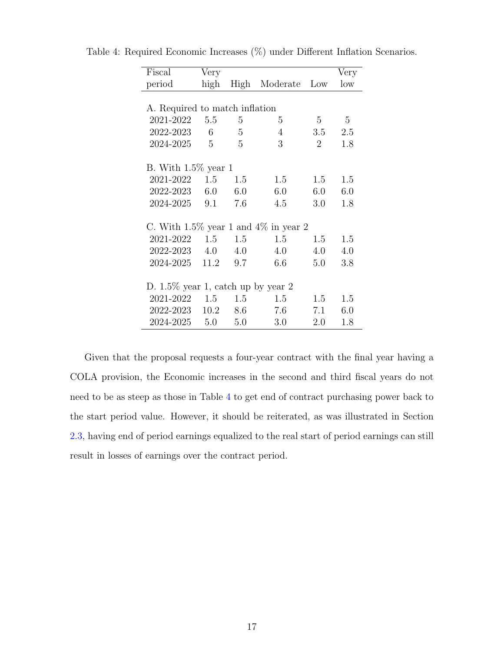| Fiscal                                     | Very            |      |                |                 | Very |  |  |  |
|--------------------------------------------|-----------------|------|----------------|-----------------|------|--|--|--|
| period                                     | high            | High | Moderate       | Low             | low  |  |  |  |
|                                            |                 |      |                |                 |      |  |  |  |
| A. Required to match inflation             |                 |      |                |                 |      |  |  |  |
| 2021-2022                                  | 5.5             | 5    | 5              | $5\overline{)}$ | 5    |  |  |  |
| 2022-2023                                  | $6\overline{6}$ | 5    | $\overline{4}$ | 3.5             | 2.5  |  |  |  |
| 2024-2025 5                                |                 | 5    | 3              | $\overline{2}$  | 1.8  |  |  |  |
|                                            |                 |      |                |                 |      |  |  |  |
| B. With $1.5\%$ year 1                     |                 |      |                |                 |      |  |  |  |
| 2021-2022                                  | 1.5<br>1.5      |      | 1.5            | 1.5             | 1.5  |  |  |  |
| $2022 - 2023$ 6.0                          |                 | 6.0  | 6.0            | 6.0             | 6.0  |  |  |  |
| 2024-2025 9.1                              |                 | 7.6  | 4.5            | 3.0             | 1.8  |  |  |  |
|                                            |                 |      |                |                 |      |  |  |  |
| C. With $1.5\%$ year 1 and $4\%$ in year 2 |                 |      |                |                 |      |  |  |  |
| 2021-2022                                  | 1.5             | 1.5  | 1.5            | 1.5             | 1.5  |  |  |  |
| 2022-2023 4.0                              |                 | 4.0  | 4.0            | 4.0             | 4.0  |  |  |  |
| 2024-2025                                  | 11.2            | 9.7  | 6.6            | 5.0             | 3.8  |  |  |  |
|                                            |                 |      |                |                 |      |  |  |  |
| D. $1.5\%$ year 1, catch up by year 2      |                 |      |                |                 |      |  |  |  |
| 2021-2022 1.5                              |                 | 1.5  | 1.5            | 1.5             | 1.5  |  |  |  |
| 2022-2023 10.2                             |                 | 8.6  | 7.6            | 7.1             | 6.0  |  |  |  |
| 2024-2025                                  | 5.0             | 5.0  | 3.0            | 2.0             | 1.8  |  |  |  |

<span id="page-16-0"></span>Table 4: Required Economic Increases (%) under Different Inflation Scenarios.

Given that the proposal requests a four-year contract with the final year having a COLA provision, the Economic increases in the second and third fiscal years do not need to be as steep as those in Table [4](#page-16-0) to get end of contract purchasing power back to the start period value. However, it should be reiterated, as was illustrated in Section [2.3,](#page-4-0) having end of period earnings equalized to the real start of period earnings can still result in losses of earnings over the contract period.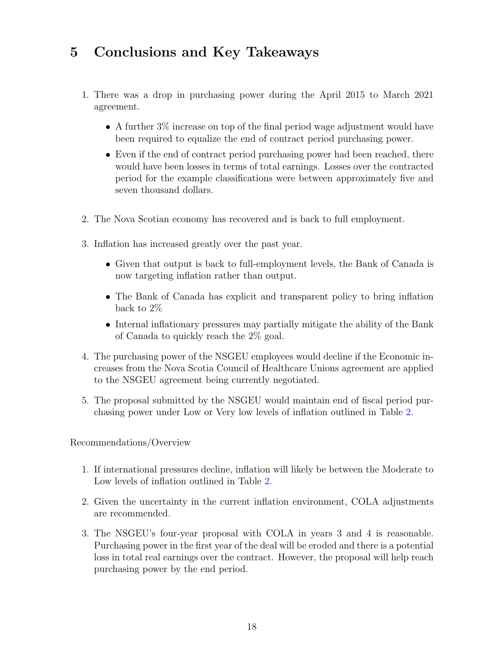### <span id="page-17-0"></span>5 Conclusions and Key Takeaways

- 1. There was a drop in purchasing power during the April 2015 to March 2021 agreement.
	- A further 3% increase on top of the final period wage adjustment would have been required to equalize the end of contract period purchasing power.
	- Even if the end of contract period purchasing power had been reached, there would have been losses in terms of total earnings. Losses over the contracted period for the example classifications were between approximately five and seven thousand dollars.
- 2. The Nova Scotian economy has recovered and is back to full employment.
- 3. Inflation has increased greatly over the past year.
	- Given that output is back to full-employment levels, the Bank of Canada is now targeting inflation rather than output.
	- The Bank of Canada has explicit and transparent policy to bring inflation back to 2%
	- Internal inflationary pressures may partially mitigate the ability of the Bank of Canada to quickly reach the 2% goal.
- 4. The purchasing power of the NSGEU employees would decline if the Economic increases from the Nova Scotia Council of Healthcare Unions agreement are applied to the NSGEU agreement being currently negotiated.
- 5. The proposal submitted by the NSGEU would maintain end of fiscal period purchasing power under Low or Very low levels of inflation outlined in Table [2.](#page-13-1)

Recommendations/Overview

- 1. If international pressures decline, inflation will likely be between the Moderate to Low levels of inflation outlined in Table [2.](#page-13-1)
- 2. Given the uncertainty in the current inflation environment, COLA adjustments are recommended.
- 3. The NSGEU's four-year proposal with COLA in years 3 and 4 is reasonable. Purchasing power in the first year of the deal will be eroded and there is a potential loss in total real earnings over the contract. However, the proposal will help reach purchasing power by the end period.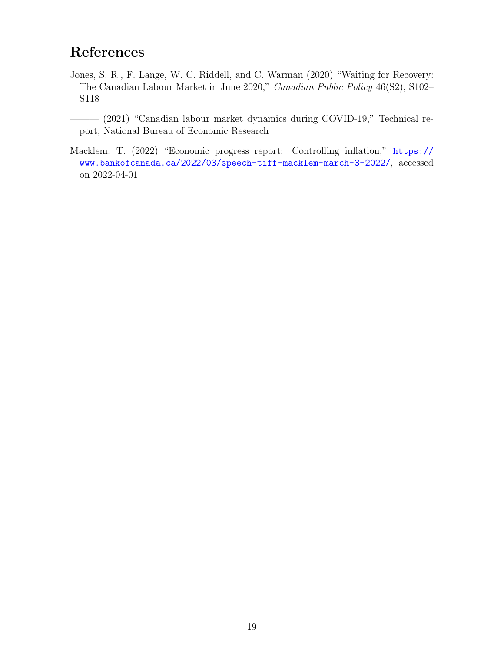### References

- <span id="page-18-0"></span>Jones, S. R., F. Lange, W. C. Riddell, and C. Warman (2020) "Waiting for Recovery: The Canadian Labour Market in June 2020," Canadian Public Policy 46(S2), S102– S118
- <span id="page-18-1"></span>——— (2021) "Canadian labour market dynamics during COVID-19," Technical report, National Bureau of Economic Research
- <span id="page-18-2"></span>Macklem, T. (2022) "Economic progress report: Controlling inflation," [https://](https://www.bankofcanada.ca/2022/03/speech-tiff-macklem-march-3-2022/) [www.bankofcanada.ca/2022/03/speech-tiff-macklem-march-3-2022/](https://www.bankofcanada.ca/2022/03/speech-tiff-macklem-march-3-2022/), accessed on 2022-04-01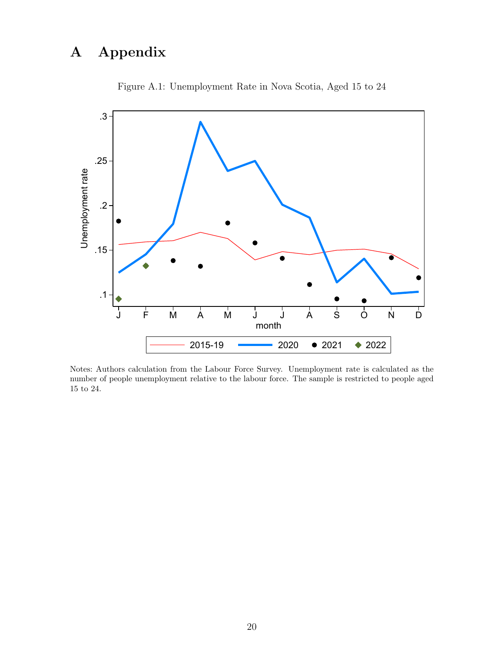## <span id="page-19-0"></span>A Appendix

<span id="page-19-1"></span>

Figure A.1: Unemployment Rate in Nova Scotia, Aged 15 to 24

Notes: Authors calculation from the Labour Force Survey. Unemployment rate is calculated as the number of people unemployment relative to the labour force. The sample is restricted to people aged 15 to 24.